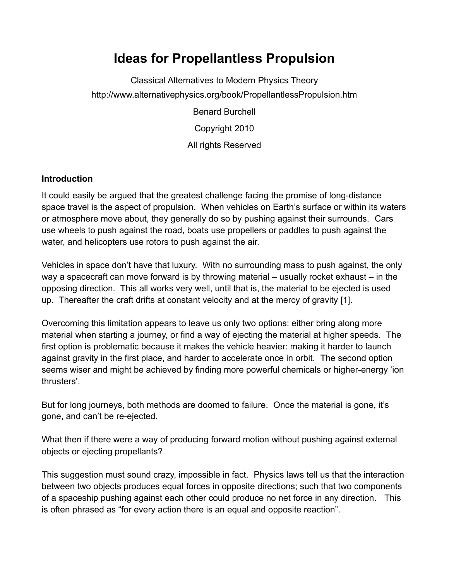# **Ideas for Propellantless Propulsion**

Classical Alternatives to Modern Physics Theory http://www.alternativephysics.org/book/PropellantlessPropulsion.htm

Benard Burchell

Copyright 2010

All rights Reserved

## **Introduction**

It could easily be argued that the greatest challenge facing the promise of long-distance space travel is the aspect of propulsion. When vehicles on Earth's surface or within its waters or atmosphere move about, they generally do so by pushing against their surrounds. Cars use wheels to push against the road, boats use propellers or paddles to push against the water, and helicopters use rotors to push against the air.

Vehicles in space don't have that luxury. With no surrounding mass to push against, the only way a spacecraft can move forward is by throwing material – usually rocket exhaust – in the opposing direction. This all works very well, until that is, the material to be ejected is used up. Thereafter the craft drifts at constant velocity and at the mercy of gravity [1].

Overcoming this limitation appears to leave us only two options: either bring along more material when starting a journey, or find a way of ejecting the material at higher speeds. The first option is problematic because it makes the vehicle heavier: making it harder to launch against gravity in the first place, and harder to accelerate once in orbit. The second option seems wiser and might be achieved by finding more powerful chemicals or higher-energy 'ion thrusters'.

But for long journeys, both methods are doomed to failure. Once the material is gone, it's gone, and can't be re-ejected.

What then if there were a way of producing forward motion without pushing against external objects or ejecting propellants?

This suggestion must sound crazy, impossible in fact. Physics laws tell us that the interaction between two objects produces equal forces in opposite directions; such that two components of a spaceship pushing against each other could produce no net force in any direction. This is often phrased as "for every action there is an equal and opposite reaction".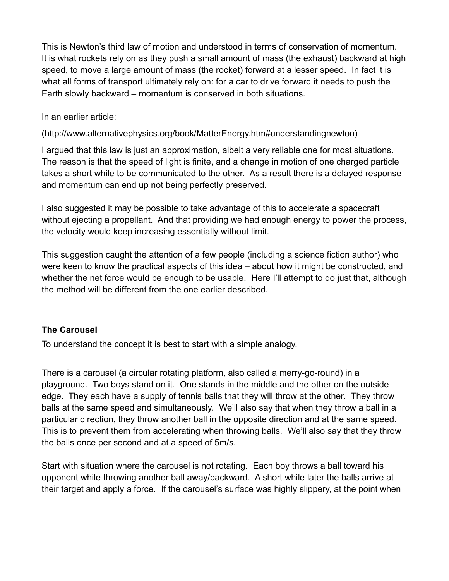This is Newton's third law of motion and understood in terms of conservation of momentum. It is what rockets rely on as they push a small amount of mass (the exhaust) backward at high speed, to move a large amount of mass (the rocket) forward at a lesser speed. In fact it is what all forms of transport ultimately rely on: for a car to drive forward it needs to push the Earth slowly backward – momentum is conserved in both situations.

In an earlier article:

(http://www.alternativephysics.org/book/MatterEnergy.htm#understandingnewton)

I argued that this law is just an approximation, albeit a very reliable one for most situations. The reason is that the speed of light is finite, and a change in motion of one charged particle takes a short while to be communicated to the other. As a result there is a delayed response and momentum can end up not being perfectly preserved.

I also suggested it may be possible to take advantage of this to accelerate a spacecraft without ejecting a propellant. And that providing we had enough energy to power the process, the velocity would keep increasing essentially without limit.

This suggestion caught the attention of a few people (including a science fiction author) who were keen to know the practical aspects of this idea – about how it might be constructed, and whether the net force would be enough to be usable. Here I'll attempt to do just that, although the method will be different from the one earlier described.

### **The Carousel**

To understand the concept it is best to start with a simple analogy.

There is a carousel (a circular rotating platform, also called a merry-go-round) in a playground. Two boys stand on it. One stands in the middle and the other on the outside edge. They each have a supply of tennis balls that they will throw at the other. They throw balls at the same speed and simultaneously. We'll also say that when they throw a ball in a particular direction, they throw another ball in the opposite direction and at the same speed. This is to prevent them from accelerating when throwing balls. We'll also say that they throw the balls once per second and at a speed of 5m/s.

Start with situation where the carousel is not rotating. Each boy throws a ball toward his opponent while throwing another ball away/backward. A short while later the balls arrive at their target and apply a force. If the carousel's surface was highly slippery, at the point when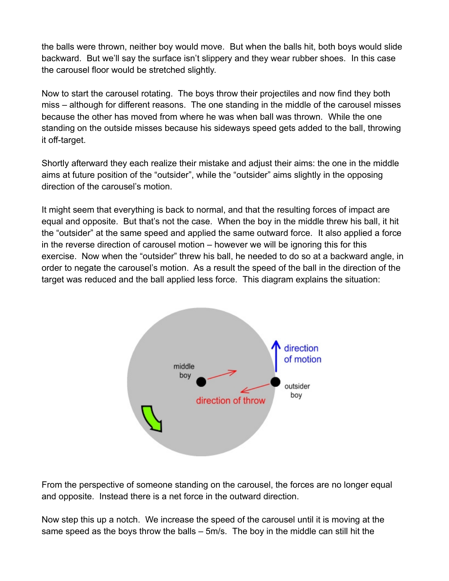the balls were thrown, neither boy would move. But when the balls hit, both boys would slide backward. But we'll say the surface isn't slippery and they wear rubber shoes. In this case the carousel floor would be stretched slightly.

Now to start the carousel rotating. The boys throw their projectiles and now find they both miss – although for different reasons. The one standing in the middle of the carousel misses because the other has moved from where he was when ball was thrown. While the one standing on the outside misses because his sideways speed gets added to the ball, throwing it off-target.

Shortly afterward they each realize their mistake and adjust their aims: the one in the middle aims at future position of the "outsider", while the "outsider" aims slightly in the opposing direction of the carousel's motion.

It might seem that everything is back to normal, and that the resulting forces of impact are equal and opposite. But that's not the case. When the boy in the middle threw his ball, it hit the "outsider" at the same speed and applied the same outward force. It also applied a force in the reverse direction of carousel motion – however we will be ignoring this for this exercise. Now when the "outsider" threw his ball, he needed to do so at a backward angle, in order to negate the carousel's motion. As a result the speed of the ball in the direction of the target was reduced and the ball applied less force. This diagram explains the situation:



From the perspective of someone standing on the carousel, the forces are no longer equal and opposite. Instead there is a net force in the outward direction.

Now step this up a notch. We increase the speed of the carousel until it is moving at the same speed as the boys throw the balls – 5m/s. The boy in the middle can still hit the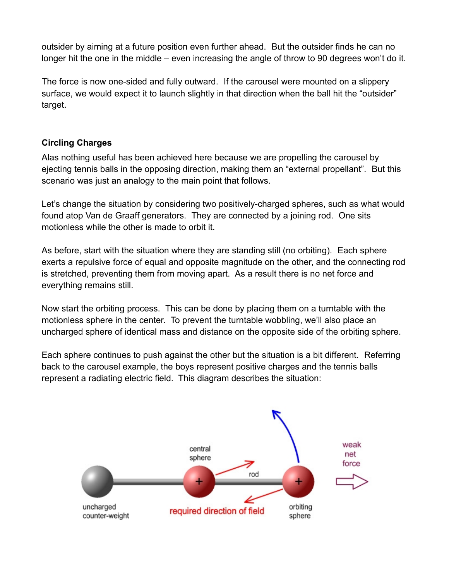outsider by aiming at a future position even further ahead. But the outsider finds he can no longer hit the one in the middle – even increasing the angle of throw to 90 degrees won't do it.

The force is now one-sided and fully outward. If the carousel were mounted on a slippery surface, we would expect it to launch slightly in that direction when the ball hit the "outsider" target.

### **Circling Charges**

Alas nothing useful has been achieved here because we are propelling the carousel by ejecting tennis balls in the opposing direction, making them an "external propellant". But this scenario was just an analogy to the main point that follows.

Let's change the situation by considering two positively-charged spheres, such as what would found atop Van de Graaff generators. They are connected by a joining rod. One sits motionless while the other is made to orbit it.

As before, start with the situation where they are standing still (no orbiting). Each sphere exerts a repulsive force of equal and opposite magnitude on the other, and the connecting rod is stretched, preventing them from moving apart. As a result there is no net force and everything remains still.

Now start the orbiting process. This can be done by placing them on a turntable with the motionless sphere in the center. To prevent the turntable wobbling, we'll also place an uncharged sphere of identical mass and distance on the opposite side of the orbiting sphere.

Each sphere continues to push against the other but the situation is a bit different. Referring back to the carousel example, the boys represent positive charges and the tennis balls represent a radiating electric field. This diagram describes the situation:

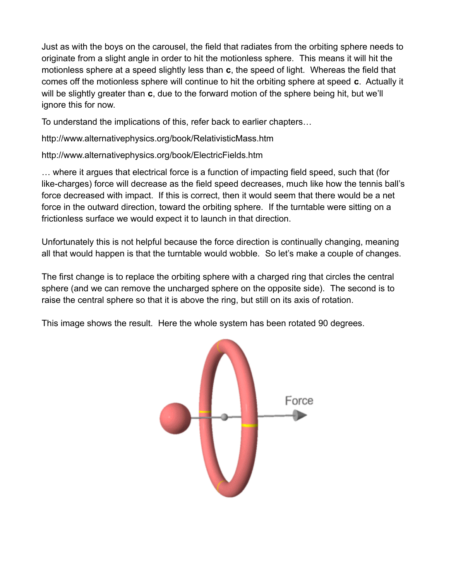Just as with the boys on the carousel, the field that radiates from the orbiting sphere needs to originate from a slight angle in order to hit the motionless sphere. This means it will hit the motionless sphere at a speed slightly less than **c**, the speed of light. Whereas the field that comes off the motionless sphere will continue to hit the orbiting sphere at speed **c**. Actually it will be slightly greater than **c**, due to the forward motion of the sphere being hit, but we'll ignore this for now.

To understand the implications of this, refer back to earlier chapters…

http://www.alternativephysics.org/book/RelativisticMass.htm

http://www.alternativephysics.org/book/ElectricFields.htm

… where it argues that electrical force is a function of impacting field speed, such that (for like-charges) force will decrease as the field speed decreases, much like how the tennis ball's force decreased with impact. If this is correct, then it would seem that there would be a net force in the outward direction, toward the orbiting sphere. If the turntable were sitting on a frictionless surface we would expect it to launch in that direction.

Unfortunately this is not helpful because the force direction is continually changing, meaning all that would happen is that the turntable would wobble. So let's make a couple of changes.

The first change is to replace the orbiting sphere with a charged ring that circles the central sphere (and we can remove the uncharged sphere on the opposite side). The second is to raise the central sphere so that it is above the ring, but still on its axis of rotation.

This image shows the result. Here the whole system has been rotated 90 degrees.

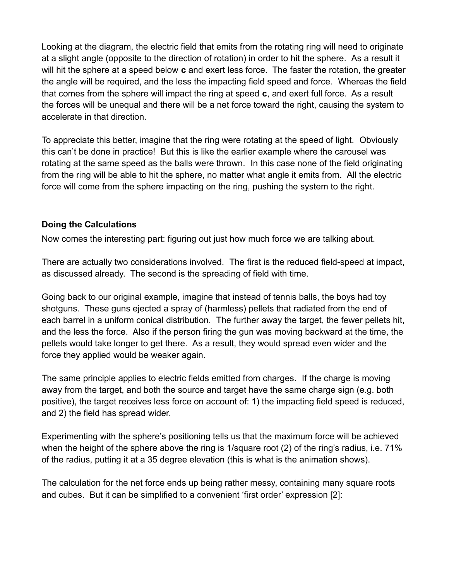Looking at the diagram, the electric field that emits from the rotating ring will need to originate at a slight angle (opposite to the direction of rotation) in order to hit the sphere. As a result it will hit the sphere at a speed below **c** and exert less force. The faster the rotation, the greater the angle will be required, and the less the impacting field speed and force. Whereas the field that comes from the sphere will impact the ring at speed **c**, and exert full force. As a result the forces will be unequal and there will be a net force toward the right, causing the system to accelerate in that direction.

To appreciate this better, imagine that the ring were rotating at the speed of light. Obviously this can't be done in practice! But this is like the earlier example where the carousel was rotating at the same speed as the balls were thrown. In this case none of the field originating from the ring will be able to hit the sphere, no matter what angle it emits from. All the electric force will come from the sphere impacting on the ring, pushing the system to the right.

### **Doing the Calculations**

Now comes the interesting part: figuring out just how much force we are talking about.

There are actually two considerations involved. The first is the reduced field-speed at impact, as discussed already. The second is the spreading of field with time.

Going back to our original example, imagine that instead of tennis balls, the boys had toy shotguns. These guns ejected a spray of (harmless) pellets that radiated from the end of each barrel in a uniform conical distribution. The further away the target, the fewer pellets hit, and the less the force. Also if the person firing the gun was moving backward at the time, the pellets would take longer to get there. As a result, they would spread even wider and the force they applied would be weaker again.

The same principle applies to electric fields emitted from charges. If the charge is moving away from the target, and both the source and target have the same charge sign (e.g. both positive), the target receives less force on account of: 1) the impacting field speed is reduced, and 2) the field has spread wider.

Experimenting with the sphere's positioning tells us that the maximum force will be achieved when the height of the sphere above the ring is 1/square root (2) of the ring's radius, i.e. 71% of the radius, putting it at a 35 degree elevation (this is what is the animation shows).

The calculation for the net force ends up being rather messy, containing many square roots and cubes. But it can be simplified to a convenient 'first order' expression [2]: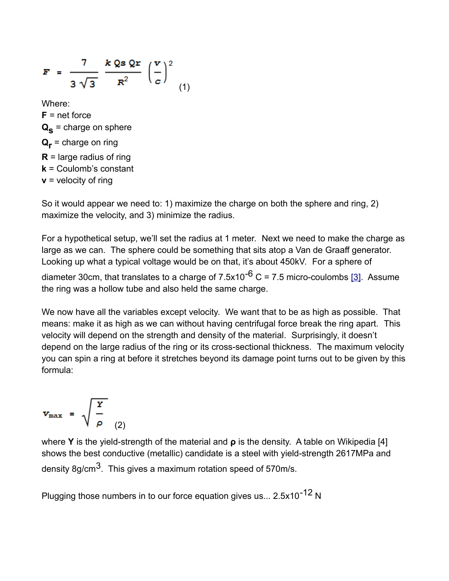$$
\mathbf{F} = \frac{7}{3\sqrt{3}} \frac{k \, \mathbf{Q} \cdot \mathbf{Q} \cdot \mathbf{r}}{R^2} \left(\frac{\mathbf{v}}{c}\right)^2
$$
\nWhere:

\n
$$
\mathbf{F} = \text{net force}
$$
\n
$$
\mathbf{Q}_\mathbf{S} = \text{charge on sphere}
$$
\n
$$
\mathbf{Q}_\mathbf{r} = \text{charge on ring}
$$
\n
$$
\mathbf{R} = \text{large radius of ring}
$$

$$
\mathbf{k} = \text{Coulomb's constant}
$$

**v** = velocity of ring

So it would appear we need to: 1) maximize the charge on both the sphere and ring, 2) maximize the velocity, and 3) minimize the radius.

For a hypothetical setup, we'll set the radius at 1 meter. Next we need to make the charge as large as we can. The sphere could be something that sits atop a Van de Graaff generator. Looking up what a typical voltage would be on that, it's about 450kV. For a sphere of

diameter 30cm, that translates to a charge of  $7.5x10^{-6}$  C = 7.5 micro-coulombs [\[3\].](http://www.alternativephysics.org/book/PropellantlessPropulsion.htm#[3]) Assume the ring was a hollow tube and also held the same charge.

We now have all the variables except velocity. We want that to be as high as possible. That means: make it as high as we can without having centrifugal force break the ring apart. This velocity will depend on the strength and density of the material. Surprisingly, it doesn't depend on the large radius of the ring or its cross-sectional thickness. The maximum velocity you can spin a ring at before it stretches beyond its damage point turns out to be given by this formula:

$$
v_{\text{max}} = \sqrt{\frac{Y}{\rho}} \tag{2}
$$

where **Y** is the yield-strength of the material and **ρ** is the density. A table on Wikipedia [4] shows the best conductive (metallic) candidate is a steel with yield-strength 2617MPa and density 8g/cm<sup>3</sup>. This gives a maximum rotation speed of 570m/s.

Plugging those numbers in to our force equation gives us...  $2.5x10^{-12}$  N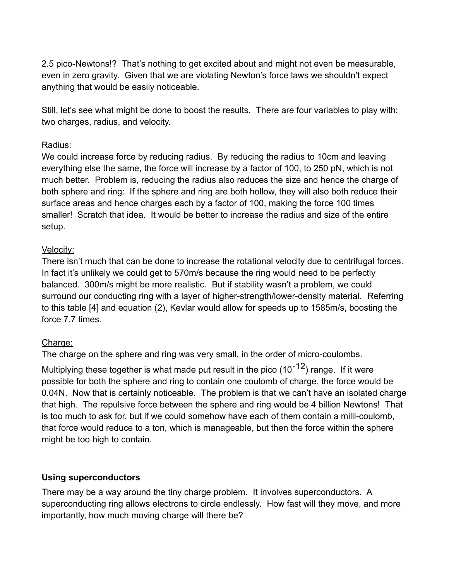2.5 pico-Newtons!? That's nothing to get excited about and might not even be measurable, even in zero gravity. Given that we are violating Newton's force laws we shouldn't expect anything that would be easily noticeable.

Still, let's see what might be done to boost the results. There are four variables to play with: two charges, radius, and velocity.

### Radius:

We could increase force by reducing radius. By reducing the radius to 10cm and leaving everything else the same, the force will increase by a factor of 100, to 250 pN, which is not much better. Problem is, reducing the radius also reduces the size and hence the charge of both sphere and ring: If the sphere and ring are both hollow, they will also both reduce their surface areas and hence charges each by a factor of 100, making the force 100 times smaller! Scratch that idea. It would be better to increase the radius and size of the entire setup.

## Velocity:

There isn't much that can be done to increase the rotational velocity due to centrifugal forces. In fact it's unlikely we could get to 570m/s because the ring would need to be perfectly balanced. 300m/s might be more realistic. But if stability wasn't a problem, we could surround our conducting ring with a layer of higher-strength/lower-density material. Referring to this table [4] and equation (2), Kevlar would allow for speeds up to 1585m/s, boosting the force 7.7 times.

## Charge:

The charge on the sphere and ring was very small, in the order of micro-coulombs.

Multiplying these together is what made put result in the pico  $(10^{-12})$  range. If it were possible for both the sphere and ring to contain one coulomb of charge, the force would be 0.04N. Now that is certainly noticeable. The problem is that we can't have an isolated charge that high. The repulsive force between the sphere and ring would be 4 billion Newtons! That is too much to ask for, but if we could somehow have each of them contain a milli-coulomb, that force would reduce to a ton, which is manageable, but then the force within the sphere might be too high to contain.

### **Using superconductors**

There may be a way around the tiny charge problem. It involves superconductors. A superconducting ring allows electrons to circle endlessly. How fast will they move, and more importantly, how much moving charge will there be?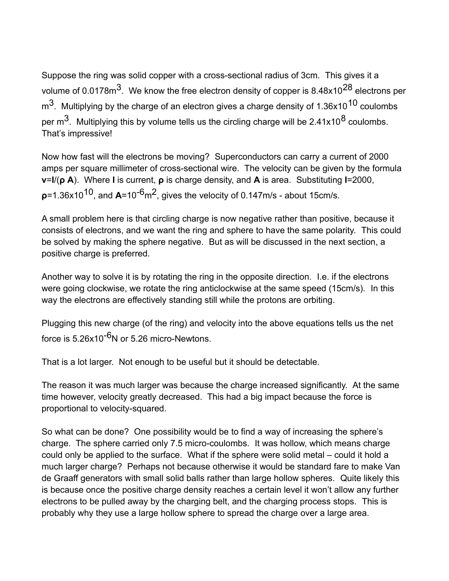Suppose the ring was solid copper with a cross-sectional radius of 3cm. This gives it a volume of 0.0178m<sup>3</sup>. We know the free electron density of copper is 8.48x10<sup>28</sup> electrons per  $\text{m}^3$ . Multiplying by the charge of an electron gives a charge density of 1.36x10<sup>10</sup> coulombs per  $\mathrm{m}^3$ . Multiplying this by volume tells us the circling charge will be 2.41x10<sup>8</sup> coulombs. That's impressive!

Now how fast will the electrons be moving? Superconductors can carry a current of 2000 amps per square millimeter of cross-sectional wire. The velocity can be given by the formula **v**=**I**/(**ρ A**). Where **I** is current, **ρ** is charge density, and **A** is area. Substituting **I**=2000, **ρ**=1.36x1010, and **A**=10-6m2, gives the velocity of 0.147m/s - about 15cm/s.

A small problem here is that circling charge is now negative rather than positive, because it consists of electrons, and we want the ring and sphere to have the same polarity. This could be solved by making the sphere negative. But as will be discussed in the next section, a positive charge is preferred.

Another way to solve it is by rotating the ring in the opposite direction. I.e. if the electrons were going clockwise, we rotate the ring anticlockwise at the same speed (15cm/s). In this way the electrons are effectively standing still while the protons are orbiting.

Plugging this new charge (of the ring) and velocity into the above equations tells us the net force is  $5.26x10^{-6}$ N or 5.26 micro-Newtons.

That is a lot larger. Not enough to be useful but it should be detectable.

The reason it was much larger was because the charge increased significantly. At the same time however, velocity greatly decreased. This had a big impact because the force is proportional to velocity-squared.

So what can be done? One possibility would be to find a way of increasing the sphere's charge. The sphere carried only 7.5 micro-coulombs. It was hollow, which means charge could only be applied to the surface. What if the sphere were solid metal – could it hold a much larger charge? Perhaps not because otherwise it would be standard fare to make Van de Graaff generators with small solid balls rather than large hollow spheres. Quite likely this is because once the positive charge density reaches a certain level it won't allow any further electrons to be pulled away by the charging belt, and the charging process stops. This is probably why they use a large hollow sphere to spread the charge over a large area.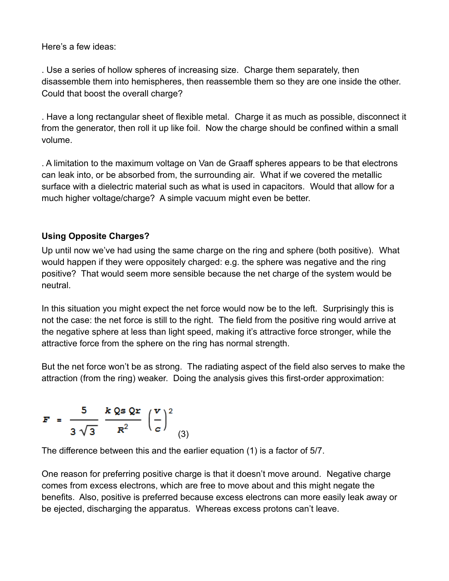Here's a few ideas:

. Use a series of hollow spheres of increasing size. Charge them separately, then disassemble them into hemispheres, then reassemble them so they are one inside the other. Could that boost the overall charge?

. Have a long rectangular sheet of flexible metal. Charge it as much as possible, disconnect it from the generator, then roll it up like foil. Now the charge should be confined within a small volume.

. A limitation to the maximum voltage on Van de Graaff spheres appears to be that electrons can leak into, or be absorbed from, the surrounding air. What if we covered the metallic surface with a dielectric material such as what is used in capacitors. Would that allow for a much higher voltage/charge? A simple vacuum might even be better.

# **Using Opposite Charges?**

Up until now we've had using the same charge on the ring and sphere (both positive). What would happen if they were oppositely charged: e.g. the sphere was negative and the ring positive? That would seem more sensible because the net charge of the system would be neutral.

In this situation you might expect the net force would now be to the left. Surprisingly this is not the case: the net force is still to the right. The field from the positive ring would arrive at the negative sphere at less than light speed, making it's attractive force stronger, while the attractive force from the sphere on the ring has normal strength.

But the net force won't be as strong. The radiating aspect of the field also serves to make the attraction (from the ring) weaker. Doing the analysis gives this first-order approximation:

$$
F = \frac{5}{3\sqrt{3}} \frac{k \text{ Qs Qr}}{R^2} \left(\frac{v}{c}\right)^2
$$
 (3)

The difference between this and the earlier equation (1) is a factor of 5/7.

One reason for preferring positive charge is that it doesn't move around. Negative charge comes from excess electrons, which are free to move about and this might negate the benefits. Also, positive is preferred because excess electrons can more easily leak away or be ejected, discharging the apparatus. Whereas excess protons can't leave.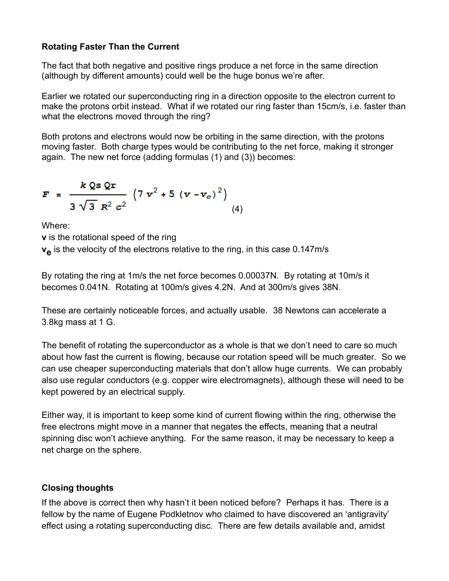## **Rotating Faster Than the Current**

The fact that both negative and positive rings produce a net force in the same direction (although by different amounts) could well be the huge bonus we're after.

Earlier we rotated our superconducting ring in a direction opposite to the electron current to make the protons orbit instead. What if we rotated our ring faster than 15cm/s, i.e. faster than what the electrons moved through the ring?

Both protons and electrons would now be orbiting in the same direction, with the protons moving faster. Both charge types would be contributing to the net force, making it stronger again. The new net force (adding formulas (1) and (3)) becomes:

$$
F = \frac{k \, Qs \, Qr}{3 \, \sqrt{3} \, R^2 \, c^2} \, \left( 7 \, v^2 + 5 \, (v - v_e)^2 \right) \tag{4}
$$

Where:

**v** is the rotational speed of the ring

 $\mathbf{v}_{\mathbf{\Theta}}$  is the velocity of the electrons relative to the ring, in this case 0.147m/s

By rotating the ring at 1m/s the net force becomes 0.00037N. By rotating at 10m/s it becomes 0.041N. Rotating at 100m/s gives 4.2N. And at 300m/s gives 38N.

These are certainly noticeable forces, and actually usable. 38 Newtons can accelerate a 3.8kg mass at 1 G.

The benefit of rotating the superconductor as a whole is that we don't need to care so much about how fast the current is flowing, because our rotation speed will be much greater. So we can use cheaper superconducting materials that don't allow huge currents. We can probably also use regular conductors (e.g. copper wire electromagnets), although these will need to be kept powered by an electrical supply.

Either way, it is important to keep some kind of current flowing within the ring, otherwise the free electrons might move in a manner that negates the effects, meaning that a neutral spinning disc won't achieve anything. For the same reason, it may be necessary to keep a net charge on the sphere.

## **Closing thoughts**

If the above is correct then why hasn't it been noticed before? Perhaps it has. There is a fellow by the name of Eugene Podkletnov who claimed to have discovered an 'antigravity' effect using a rotating superconducting disc. There are few details available and, amidst